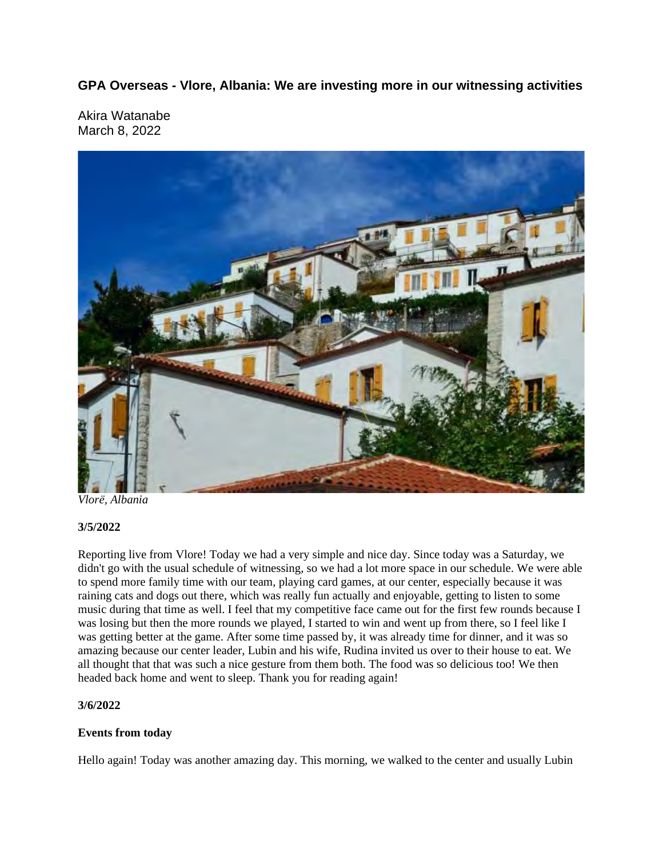**GPA Overseas - Vlore, Albania: We are investing more in our witnessing activities**

Akira Watanabe March 8, 2022



*Vlorë, Albania*

# **3/5/2022**

Reporting live from Vlore! Today we had a very simple and nice day. Since today was a Saturday, we didn't go with the usual schedule of witnessing, so we had a lot more space in our schedule. We were able to spend more family time with our team, playing card games, at our center, especially because it was raining cats and dogs out there, which was really fun actually and enjoyable, getting to listen to some music during that time as well. I feel that my competitive face came out for the first few rounds because I was losing but then the more rounds we played, I started to win and went up from there, so I feel like I was getting better at the game. After some time passed by, it was already time for dinner, and it was so amazing because our center leader, Lubin and his wife, Rudina invited us over to their house to eat. We all thought that that was such a nice gesture from them both. The food was so delicious too! We then headed back home and went to sleep. Thank you for reading again!

# **3/6/2022**

# **Events from today**

Hello again! Today was another amazing day. This morning, we walked to the center and usually Lubin